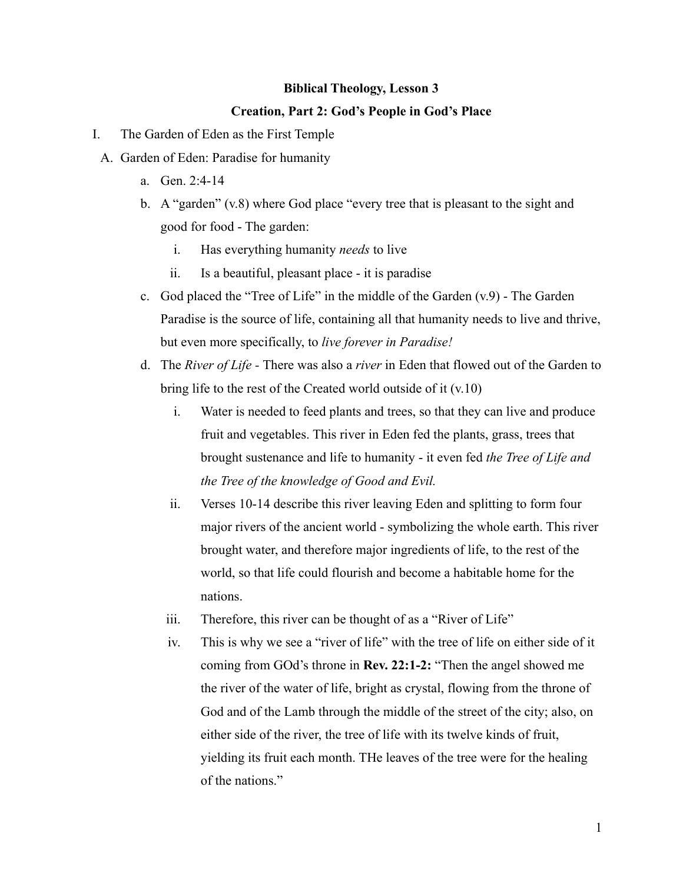## **Biblical Theology, Lesson 3**

## **Creation, Part 2: God's People in God's Place**

- I. The Garden of Eden as the First Temple
	- A. Garden of Eden: Paradise for humanity
		- a. Gen. 2:4-14
		- b. A "garden" (v.8) where God place "every tree that is pleasant to the sight and good for food - The garden:
			- i. Has everything humanity *needs* to live
			- ii. Is a beautiful, pleasant place it is paradise
		- c. God placed the "Tree of Life" in the middle of the Garden (v.9) The Garden Paradise is the source of life, containing all that humanity needs to live and thrive, but even more specifically, to *live forever in Paradise!*
		- d. The *River of Life -* There was also a *river* in Eden that flowed out of the Garden to bring life to the rest of the Created world outside of it (v.10)
			- i. Water is needed to feed plants and trees, so that they can live and produce fruit and vegetables. This river in Eden fed the plants, grass, trees that brought sustenance and life to humanity - it even fed *the Tree of Life and the Tree of the knowledge of Good and Evil.*
			- ii. Verses 10-14 describe this river leaving Eden and splitting to form four major rivers of the ancient world - symbolizing the whole earth. This river brought water, and therefore major ingredients of life, to the rest of the world, so that life could flourish and become a habitable home for the nations.
			- iii. Therefore, this river can be thought of as a "River of Life"
			- iv. This is why we see a "river of life" with the tree of life on either side of it coming from GOd's throne in **Rev. 22:1-2:** "Then the angel showed me the river of the water of life, bright as crystal, flowing from the throne of God and of the Lamb through the middle of the street of the city; also, on either side of the river, the tree of life with its twelve kinds of fruit, yielding its fruit each month. THe leaves of the tree were for the healing of the nations."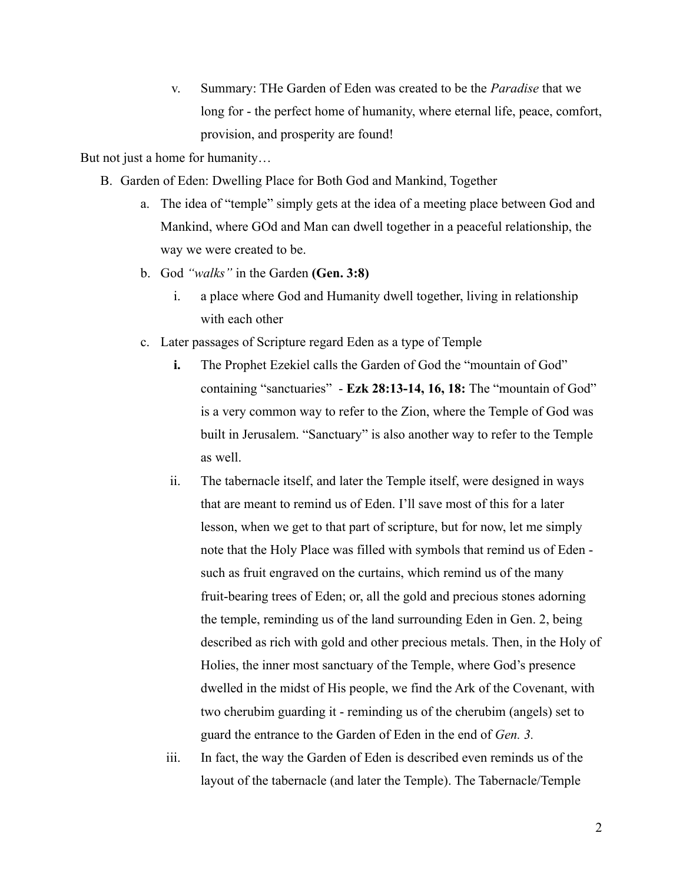v. Summary: THe Garden of Eden was created to be the *Paradise* that we long for - the perfect home of humanity, where eternal life, peace, comfort, provision, and prosperity are found!

But not just a home for humanity…

- B. Garden of Eden: Dwelling Place for Both God and Mankind, Together
	- a. The idea of "temple" simply gets at the idea of a meeting place between God and Mankind, where GOd and Man can dwell together in a peaceful relationship, the way we were created to be.
	- b. God *"walks"* in the Garden **(Gen. 3:8)**
		- i. a place where God and Humanity dwell together, living in relationship with each other
	- c. Later passages of Scripture regard Eden as a type of Temple
		- **i.** The Prophet Ezekiel calls the Garden of God the "mountain of God" containing "sanctuaries" - **Ezk 28:13-14, 16, 18:** The "mountain of God" is a very common way to refer to the Zion, where the Temple of God was built in Jerusalem. "Sanctuary" is also another way to refer to the Temple as well.
		- ii. The tabernacle itself, and later the Temple itself, were designed in ways that are meant to remind us of Eden. I'll save most of this for a later lesson, when we get to that part of scripture, but for now, let me simply note that the Holy Place was filled with symbols that remind us of Eden such as fruit engraved on the curtains, which remind us of the many fruit-bearing trees of Eden; or, all the gold and precious stones adorning the temple, reminding us of the land surrounding Eden in Gen. 2, being described as rich with gold and other precious metals. Then, in the Holy of Holies, the inner most sanctuary of the Temple, where God's presence dwelled in the midst of His people, we find the Ark of the Covenant, with two cherubim guarding it - reminding us of the cherubim (angels) set to guard the entrance to the Garden of Eden in the end of *Gen. 3.*
		- iii. In fact, the way the Garden of Eden is described even reminds us of the layout of the tabernacle (and later the Temple). The Tabernacle/Temple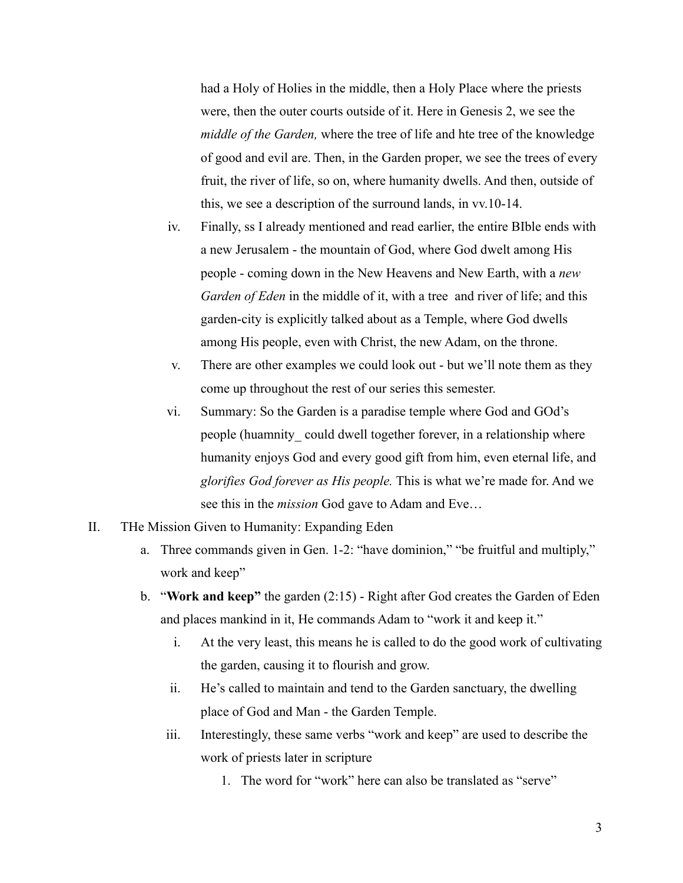had a Holy of Holies in the middle, then a Holy Place where the priests were, then the outer courts outside of it. Here in Genesis 2, we see the *middle of the Garden,* where the tree of life and hte tree of the knowledge of good and evil are. Then, in the Garden proper, we see the trees of every fruit, the river of life, so on, where humanity dwells. And then, outside of this, we see a description of the surround lands, in vv.10-14.

- iv. Finally, ss I already mentioned and read earlier, the entire BIble ends with a new Jerusalem - the mountain of God, where God dwelt among His people - coming down in the New Heavens and New Earth, with a *new Garden of Eden* in the middle of it, with a tree and river of life; and this garden-city is explicitly talked about as a Temple, where God dwells among His people, even with Christ, the new Adam, on the throne.
- v. There are other examples we could look out but we'll note them as they come up throughout the rest of our series this semester.
- vi. Summary: So the Garden is a paradise temple where God and GOd's people (huamnity\_ could dwell together forever, in a relationship where humanity enjoys God and every good gift from him, even eternal life, and *glorifies God forever as His people.* This is what we're made for. And we see this in the *mission* God gave to Adam and Eve…
- II. THe Mission Given to Humanity: Expanding Eden
	- a. Three commands given in Gen. 1-2: "have dominion," "be fruitful and multiply," work and keep"
	- b. "**Work and keep"** the garden (2:15) Right after God creates the Garden of Eden and places mankind in it, He commands Adam to "work it and keep it."
		- i. At the very least, this means he is called to do the good work of cultivating the garden, causing it to flourish and grow.
		- ii. He's called to maintain and tend to the Garden sanctuary, the dwelling place of God and Man - the Garden Temple.
		- iii. Interestingly, these same verbs "work and keep" are used to describe the work of priests later in scripture
			- 1. The word for "work" here can also be translated as "serve"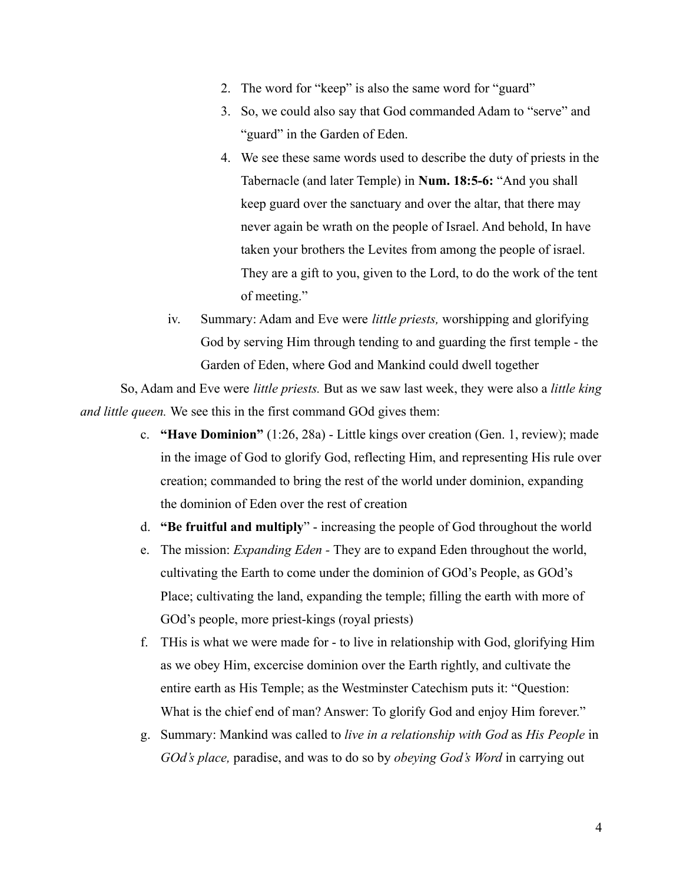- 2. The word for "keep" is also the same word for "guard"
- 3. So, we could also say that God commanded Adam to "serve" and "guard" in the Garden of Eden.
- 4. We see these same words used to describe the duty of priests in the Tabernacle (and later Temple) in **Num. 18:5-6:** "And you shall keep guard over the sanctuary and over the altar, that there may never again be wrath on the people of Israel. And behold, In have taken your brothers the Levites from among the people of israel. They are a gift to you, given to the Lord, to do the work of the tent of meeting."
- iv. Summary: Adam and Eve were *little priests,* worshipping and glorifying God by serving Him through tending to and guarding the first temple - the Garden of Eden, where God and Mankind could dwell together

So, Adam and Eve were *little priests.* But as we saw last week, they were also a *little king and little queen.* We see this in the first command GOd gives them:

- c. **"Have Dominion"** (1:26, 28a) Little kings over creation (Gen. 1, review); made in the image of God to glorify God, reflecting Him, and representing His rule over creation; commanded to bring the rest of the world under dominion, expanding the dominion of Eden over the rest of creation
- d. **"Be fruitful and multiply**" increasing the people of God throughout the world
- e. The mission: *Expanding Eden -* They are to expand Eden throughout the world, cultivating the Earth to come under the dominion of GOd's People, as GOd's Place; cultivating the land, expanding the temple; filling the earth with more of GOd's people, more priest-kings (royal priests)
- f. THis is what we were made for to live in relationship with God, glorifying Him as we obey Him, excercise dominion over the Earth rightly, and cultivate the entire earth as His Temple; as the Westminster Catechism puts it: "Question: What is the chief end of man? Answer: To glorify God and enjoy Him forever."
- g. Summary: Mankind was called to *live in a relationship with God* as *His People* in *GOd's place,* paradise, and was to do so by *obeying God's Word* in carrying out